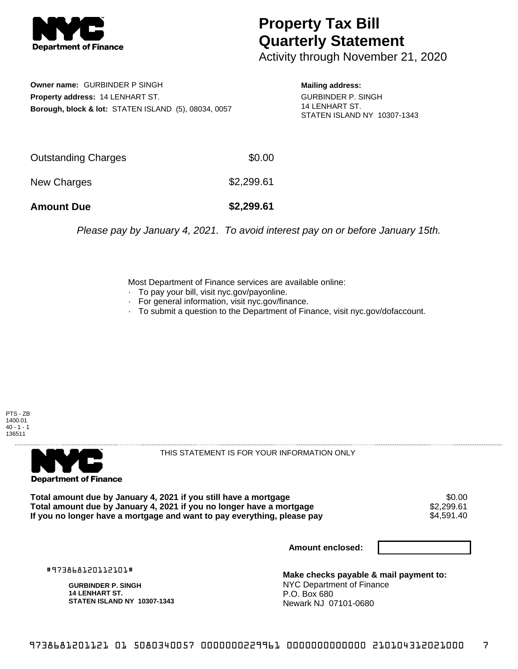

## **Property Tax Bill Quarterly Statement**

Activity through November 21, 2020

**Owner name:** GURBINDER P SINGH **Property address:** 14 LENHART ST. **Borough, block & lot:** STATEN ISLAND (5), 08034, 0057

**Mailing address:** GURBINDER P. SINGH 14 LENHART ST. STATEN ISLAND NY 10307-1343

| <b>Amount Due</b>   | \$2,299.61 |
|---------------------|------------|
| New Charges         | \$2,299.61 |
| Outstanding Charges | \$0.00     |

Please pay by January 4, 2021. To avoid interest pay on or before January 15th.

Most Department of Finance services are available online:

- · To pay your bill, visit nyc.gov/payonline.
- For general information, visit nyc.gov/finance.
- · To submit a question to the Department of Finance, visit nyc.gov/dofaccount.





THIS STATEMENT IS FOR YOUR INFORMATION ONLY

Total amount due by January 4, 2021 if you still have a mortgage \$0.00<br>Total amount due by January 4, 2021 if you no longer have a mortgage \$2.299.61 **Total amount due by January 4, 2021 if you no longer have a mortgage**  $$2,299.61$$ **<br>If you no longer have a mortgage and want to pay everything, please pay**  $$4.591.40$$ If you no longer have a mortgage and want to pay everything, please pay

**Amount enclosed:**

#973868120112101#

**GURBINDER P. SINGH 14 LENHART ST. STATEN ISLAND NY 10307-1343**

**Make checks payable & mail payment to:** NYC Department of Finance P.O. Box 680 Newark NJ 07101-0680